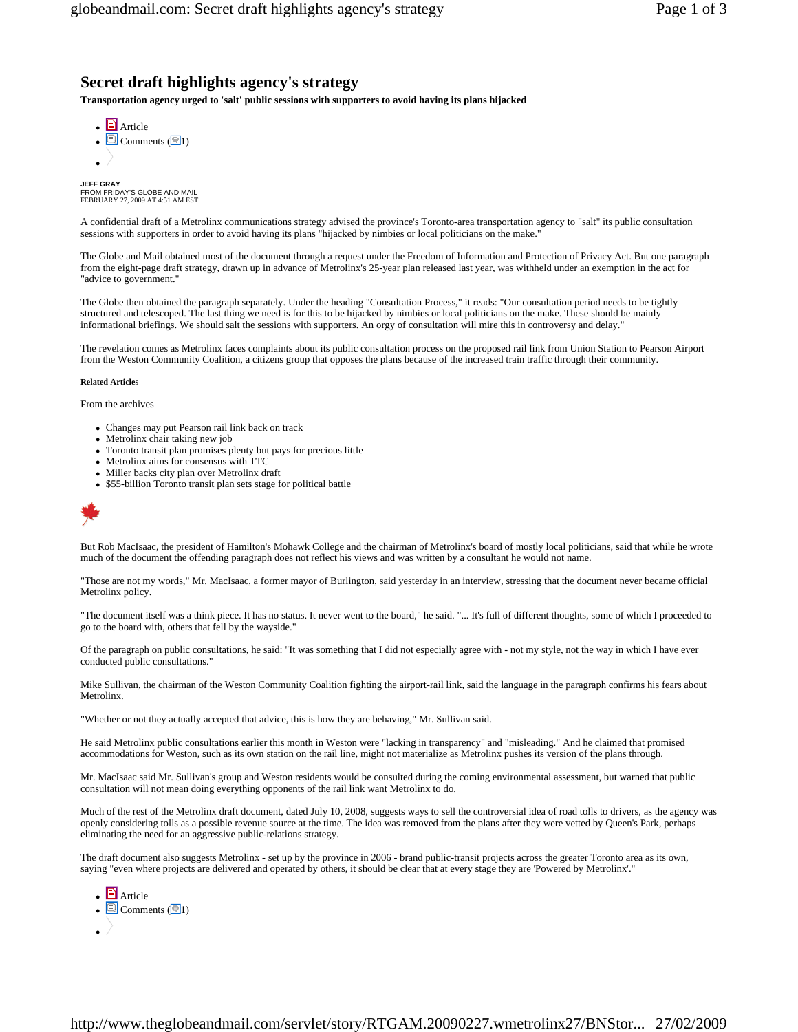# **Secret draft highlights agency's strategy**

**Transportation agency urged to 'salt' public sessions with supporters to avoid having its plans hijacked** 

**Article**  $\boxed{\text{S}}$  Comments ( $\boxed{\text{S}}$ 1)  $\bullet$  /

**JEFF GRAY**  FROM FRIDAY'S GLOBE AND MAIL FEBRUARY 27, 2009 AT 4:51 AM EST

A confidential draft of a Metrolinx communications strategy advised the province's Toronto-area transportation agency to "salt" its public consultation sessions with supporters in order to avoid having its plans "hijacked by nimbies or local politicians on the make.

The Globe and Mail obtained most of the document through a request under the Freedom of Information and Protection of Privacy Act. But one paragraph from the eight-page draft strategy, drawn up in advance of Metrolinx's 25-year plan released last year, was withheld under an exemption in the act for "advice to government."

The Globe then obtained the paragraph separately. Under the heading "Consultation Process," it reads: "Our consultation period needs to be tightly structured and telescoped. The last thing we need is for this to be hijacked by nimbies or local politicians on the make. These should be mainly informational briefings. We should salt the sessions with supporters. An orgy of consultation will mire this in controversy and delay."

The revelation comes as Metrolinx faces complaints about its public consultation process on the proposed rail link from Union Station to Pearson Airport from the Weston Community Coalition, a citizens group that opposes the plans because of the increased train traffic through their community.

#### **Related Articles**

From the archives

- Changes may put Pearson rail link back on track
- Metrolinx chair taking new job
- <sup>z</sup> Toronto transit plan promises plenty but pays for precious little
- Metrolinx aims for consensus with TTC
- Miller backs city plan over Metrolinx draft
- \$55-billion Toronto transit plan sets stage for political battle



But Rob MacIsaac, the president of Hamilton's Mohawk College and the chairman of Metrolinx's board of mostly local politicians, said that while he wrote much of the document the offending paragraph does not reflect his views and was written by a consultant he would not name.

"Those are not my words," Mr. MacIsaac, a former mayor of Burlington, said yesterday in an interview, stressing that the document never became official Metrolinx policy.

"The document itself was a think piece. It has no status. It never went to the board," he said. "... It's full of different thoughts, some of which I proceeded to go to the board with, others that fell by the wayside."

Of the paragraph on public consultations, he said: "It was something that I did not especially agree with - not my style, not the way in which I have ever conducted public consultations."

Mike Sullivan, the chairman of the Weston Community Coalition fighting the airport-rail link, said the language in the paragraph confirms his fears about Metrolinx.

"Whether or not they actually accepted that advice, this is how they are behaving," Mr. Sullivan said.

He said Metrolinx public consultations earlier this month in Weston were "lacking in transparency" and "misleading." And he claimed that promised accommodations for Weston, such as its own station on the rail line, might not materialize as Metrolinx pushes its version of the plans through.

Mr. MacIsaac said Mr. Sullivan's group and Weston residents would be consulted during the coming environmental assessment, but warned that public consultation will not mean doing everything opponents of the rail link want Metrolinx to do.

Much of the rest of the Metrolinx draft document, dated July 10, 2008, suggests ways to sell the controversial idea of road tolls to drivers, as the agency was openly considering tolls as a possible revenue source at the time. The idea was removed from the plans after they were vetted by Queen's Park, perhaps eliminating the need for an aggressive public-relations strategy.

The draft document also suggests Metrolinx - set up by the province in 2006 - brand public-transit projects across the greater Toronto area as its own, saying "even where projects are delivered and operated by others, it should be clear that at every stage they are 'Powered by Metrolinx'."

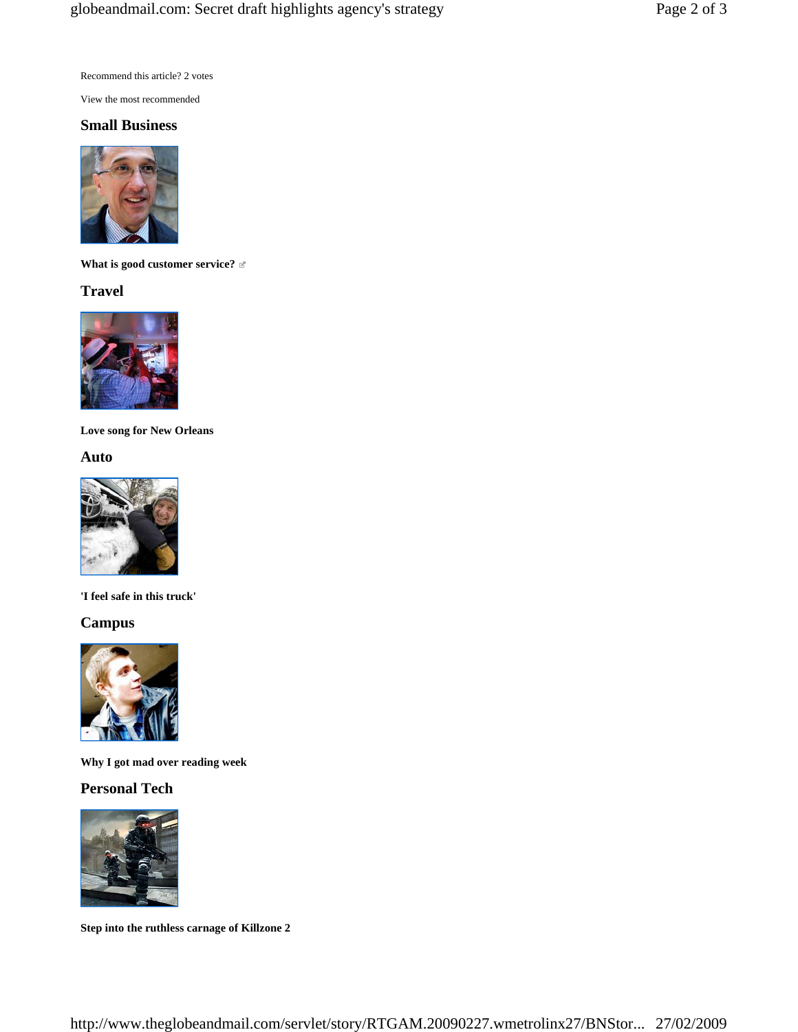Recommend this article? 2 votes

View the most recommended

### **Small Business**



**What is good customer service?** 

## **Travel**



**Love song for New Orleans** 

### **Auto**



**'I feel safe in this truck'** 

# **Campus**



**Why I got mad over reading week** 

# **Personal Tech**



**Step into the ruthless carnage of Killzone 2**